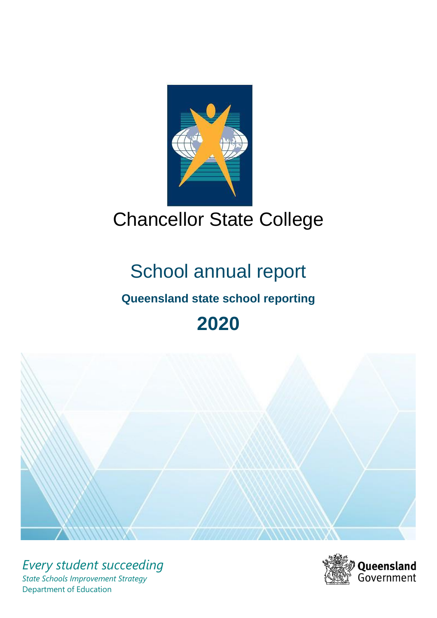

# Chancellor State College

# School annual report

# **Queensland state school reporting**

# **2020**



*Every student succeeding State Schools Improvement Strategy* Department of Education

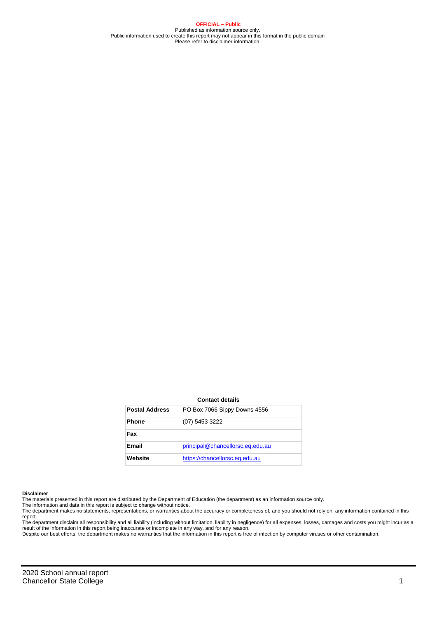**OFFICIAL – Public** Published as information source only. Public information used to create this report may not appear in this format in the public domain Please refer to disclaimer information.

#### **Contact details**

| <b>Postal Address</b> | PO Box 7066 Sippy Downs 4556     |
|-----------------------|----------------------------------|
| <b>Phone</b>          | (07) 5453 3222                   |
| Fax                   |                                  |
| <b>Email</b>          | principal@chancellorsc.eq.edu.au |
| Website               | https://chancellorsc.eq.edu.au   |

#### **Disclaimer**

The materials presented in this report are distributed by the Department of Education (the department) as an information source only. The information and data in this report is subject to change without notice.

The department makes no statements, representations, or warranties about the accuracy or completeness of, and you should not rely on, any information contained in this report.

The department disclaim all responsibility and all liability (including without limitation, liability in negligence) for all expenses, losses, damages and costs you might incur as a<br>result of the information in this report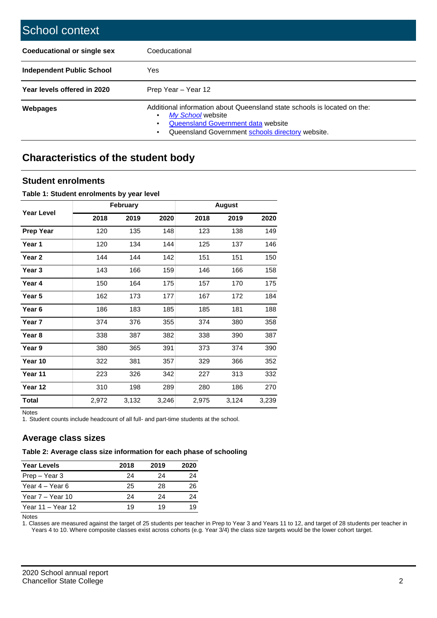| School context                   |                                                                                                                                                                                         |
|----------------------------------|-----------------------------------------------------------------------------------------------------------------------------------------------------------------------------------------|
| Coeducational or single sex      | Coeducational                                                                                                                                                                           |
| <b>Independent Public School</b> | Yes                                                                                                                                                                                     |
| Year levels offered in 2020      | Prep Year - Year 12                                                                                                                                                                     |
| <b>Webpages</b>                  | Additional information about Queensland state schools is located on the:<br>My School website<br>Queensland Government data website<br>Queensland Government schools directory website. |

# **Characteristics of the student body**

## **Student enrolments**

#### **Table 1: Student enrolments by year level**

|                   |       | February |       |       | <b>August</b> |       |
|-------------------|-------|----------|-------|-------|---------------|-------|
| <b>Year Level</b> | 2018  | 2019     | 2020  | 2018  | 2019          | 2020  |
| <b>Prep Year</b>  | 120   | 135      | 148   | 123   | 138           | 149   |
| Year 1            | 120   | 134      | 144   | 125   | 137           | 146   |
| Year 2            | 144   | 144      | 142   | 151   | 151           | 150   |
| Year <sub>3</sub> | 143   | 166      | 159   | 146   | 166           | 158   |
| Year 4            | 150   | 164      | 175   | 157   | 170           | 175   |
| Year 5            | 162   | 173      | 177   | 167   | 172           | 184   |
| Year <sub>6</sub> | 186   | 183      | 185   | 185   | 181           | 188   |
| Year 7            | 374   | 376      | 355   | 374   | 380           | 358   |
| Year <sub>8</sub> | 338   | 387      | 382   | 338   | 390           | 387   |
| Year 9            | 380   | 365      | 391   | 373   | 374           | 390   |
| Year 10           | 322   | 381      | 357   | 329   | 366           | 352   |
| Year 11           | 223   | 326      | 342   | 227   | 313           | 332   |
| Year 12           | 310   | 198      | 289   | 280   | 186           | 270   |
| <b>Total</b>      | 2,972 | 3,132    | 3,246 | 2,975 | 3,124         | 3,239 |

Notes

1. Student counts include headcount of all full- and part-time students at the school.

## **Average class sizes**

### **Table 2: Average class size information for each phase of schooling**

| <b>Year Levels</b> | 2018 | 2019 | 2020 |
|--------------------|------|------|------|
| Prep - Year 3      | 24   | 24   | 24   |
| Year 4 – Year 6    | 25   | 28   | 26   |
| Year 7 – Year 10   | 24   | 24   | 24   |
| Year 11 - Year 12  | 19   | 1 Q  |      |

Notes

1. Classes are measured against the target of 25 students per teacher in Prep to Year 3 and Years 11 to 12, and target of 28 students per teacher in Years 4 to 10. Where composite classes exist across cohorts (e.g. Year 3/4) the class size targets would be the lower cohort target.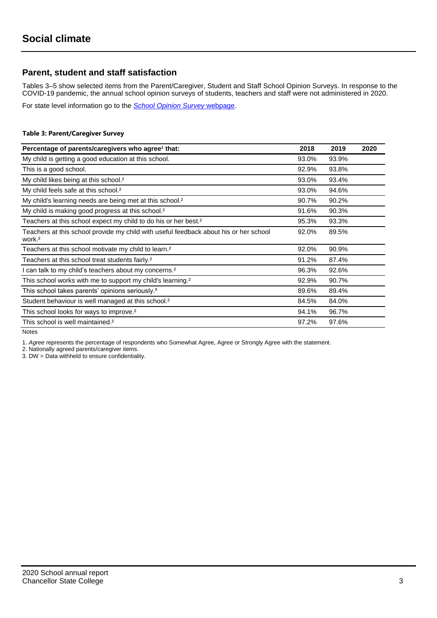## **Parent, student and staff satisfaction**

Tables 3–5 show selected items from the Parent/Caregiver, Student and Staff School Opinion Surveys. In response to the COVID-19 pandemic, the annual school opinion surveys of students, teachers and staff were not administered in 2020.

For state level information go to the *[School Opinion Survey](https://qed.qld.gov.au/publications/reports/statistics/schooling/schools/schoolopinionsurvey)* [webpage.](https://qed.qld.gov.au/publications/reports/statistics/schooling/schools/schoolopinionsurvey)

#### **Table 3: Parent/Caregiver Survey**

| Percentage of parents/caregivers who agree <sup>1</sup> that:                                               | 2018  | 2019  | 2020 |
|-------------------------------------------------------------------------------------------------------------|-------|-------|------|
| My child is getting a good education at this school.                                                        | 93.0% | 93.9% |      |
| This is a good school.                                                                                      | 92.9% | 93.8% |      |
| My child likes being at this school. <sup>2</sup>                                                           | 93.0% | 93.4% |      |
| My child feels safe at this school. <sup>2</sup>                                                            | 93.0% | 94.6% |      |
| My child's learning needs are being met at this school. <sup>2</sup>                                        | 90.7% | 90.2% |      |
| My child is making good progress at this school. <sup>2</sup>                                               | 91.6% | 90.3% |      |
| Teachers at this school expect my child to do his or her best. <sup>2</sup>                                 | 95.3% | 93.3% |      |
| Teachers at this school provide my child with useful feedback about his or her school<br>work. <sup>2</sup> | 92.0% | 89.5% |      |
| Teachers at this school motivate my child to learn. <sup>2</sup>                                            | 92.0% | 90.9% |      |
| Teachers at this school treat students fairly. <sup>2</sup>                                                 | 91.2% | 87.4% |      |
| I can talk to my child's teachers about my concerns. <sup>2</sup>                                           | 96.3% | 92.6% |      |
| This school works with me to support my child's learning. <sup>2</sup>                                      | 92.9% | 90.7% |      |
| This school takes parents' opinions seriously. <sup>2</sup>                                                 | 89.6% | 89.4% |      |
| Student behaviour is well managed at this school. <sup>2</sup>                                              | 84.5% | 84.0% |      |
| This school looks for ways to improve. <sup>2</sup>                                                         | 94.1% | 96.7% |      |
| This school is well maintained. <sup>2</sup>                                                                | 97.2% | 97.6% |      |

Notes

1. *Agree* represents the percentage of respondents who Somewhat Agree, Agree or Strongly Agree with the statement.

2. Nationally agreed parents/caregiver items.

3. DW = Data withheld to ensure confidentiality.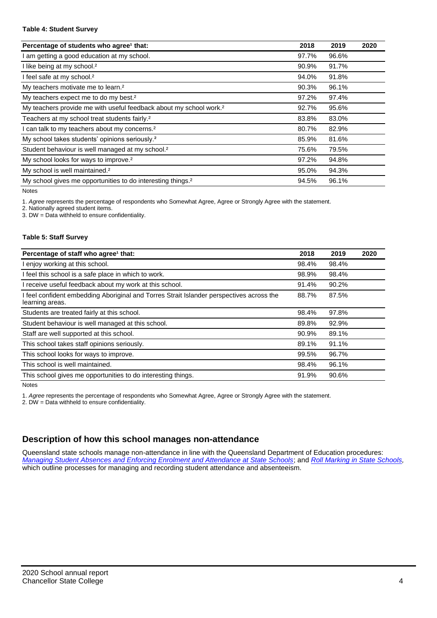#### **Table 4: Student Survey**

| Percentage of students who agree <sup>1</sup> that:                            | 2018  | 2019  | 2020 |
|--------------------------------------------------------------------------------|-------|-------|------|
| I am getting a good education at my school.                                    | 97.7% | 96.6% |      |
| I like being at my school. <sup>2</sup>                                        | 90.9% | 91.7% |      |
| I feel safe at my school. <sup>2</sup>                                         | 94.0% | 91.8% |      |
| My teachers motivate me to learn. <sup>2</sup>                                 | 90.3% | 96.1% |      |
| My teachers expect me to do my best. <sup>2</sup>                              | 97.2% | 97.4% |      |
| My teachers provide me with useful feedback about my school work. <sup>2</sup> | 92.7% | 95.6% |      |
| Teachers at my school treat students fairly. <sup>2</sup>                      | 83.8% | 83.0% |      |
| I can talk to my teachers about my concerns. <sup>2</sup>                      | 80.7% | 82.9% |      |
| My school takes students' opinions seriously. <sup>2</sup>                     | 85.9% | 81.6% |      |
| Student behaviour is well managed at my school. <sup>2</sup>                   | 75.6% | 79.5% |      |
| My school looks for ways to improve. <sup>2</sup>                              | 97.2% | 94.8% |      |
| My school is well maintained. <sup>2</sup>                                     | 95.0% | 94.3% |      |
| My school gives me opportunities to do interesting things. <sup>2</sup>        | 94.5% | 96.1% |      |

Notes

1. *Agree* represents the percentage of respondents who Somewhat Agree, Agree or Strongly Agree with the statement.

2. Nationally agreed student items.

3. DW = Data withheld to ensure confidentiality.

#### **Table 5: Staff Survey**

| Percentage of staff who agree <sup>1</sup> that:                                                            | 2018  | 2019  | 2020 |
|-------------------------------------------------------------------------------------------------------------|-------|-------|------|
| I enjoy working at this school.                                                                             | 98.4% | 98.4% |      |
| I feel this school is a safe place in which to work.                                                        | 98.9% | 98.4% |      |
| I receive useful feedback about my work at this school.                                                     | 91.4% | 90.2% |      |
| I feel confident embedding Aboriginal and Torres Strait Islander perspectives across the<br>learning areas. | 88.7% | 87.5% |      |
| Students are treated fairly at this school.                                                                 | 98.4% | 97.8% |      |
| Student behaviour is well managed at this school.                                                           | 89.8% | 92.9% |      |
| Staff are well supported at this school.                                                                    | 90.9% | 89.1% |      |
| This school takes staff opinions seriously.                                                                 | 89.1% | 91.1% |      |
| This school looks for ways to improve.                                                                      | 99.5% | 96.7% |      |
| This school is well maintained.                                                                             | 98.4% | 96.1% |      |
| This school gives me opportunities to do interesting things.                                                | 91.9% | 90.6% |      |

Notes

1. *Agree* represents the percentage of respondents who Somewhat Agree, Agree or Strongly Agree with the statement.

2. DW = Data withheld to ensure confidentiality.

## **Description of how this school manages non-attendance**

Queensland state schools manage non-attendance in line with the Queensland Department of Education procedures: *[Managing Student Absences and Enforcing Enrolment and Attendance at State Schools](https://ppr.qed.qld.gov.au/pp/managing-student-absences-and-enforcing-enrolment-and-attendance-at-state-schools-procedure)*; and *[Roll Marking in State Schools,](https://ppr.qed.qld.gov.au/pp/roll-marking-in-state-schools-procedure)* which outline processes for managing and recording student attendance and absenteeism.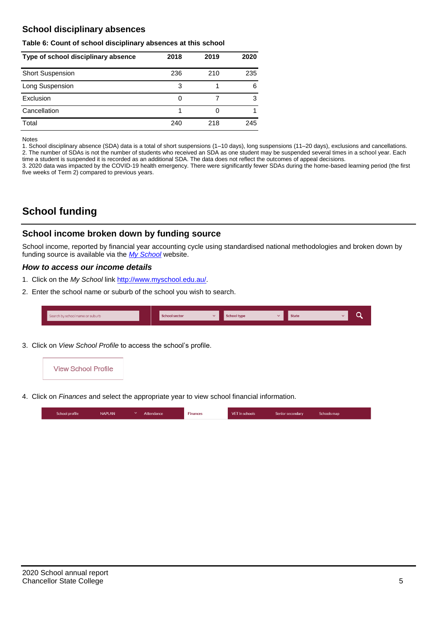## **School disciplinary absences**

#### **Table 6: Count of school disciplinary absences at this school**

| Type of school disciplinary absence | 2018 | 2019 | 2020 |
|-------------------------------------|------|------|------|
| <b>Short Suspension</b>             | 236  | 210  | 235  |
| Long Suspension                     | 3    |      | 6    |
| Exclusion                           | 0    |      | 3    |
| Cancellation                        |      |      |      |
| Total                               | 240  | 218  | 245  |

#### Notes

1. School disciplinary absence (SDA) data is a total of short suspensions (1–10 days), long suspensions (11–20 days), exclusions and cancellations. 2. The number of SDAs is not the number of students who received an SDA as one student may be suspended several times in a school year. Each time a student is suspended it is recorded as an additional SDA. The data does not reflect the outcomes of appeal decisions.

3. 2020 data was impacted by the COVID-19 health emergency. There were significantly fewer SDAs during the home-based learning period (the first five weeks of Term 2) compared to previous years.

# **School funding**

## **School income broken down by funding source**

School income, reported by financial year accounting cycle using standardised national methodologies and broken down by funding source is available via the *[My School](http://www.myschool.edu.au/)* website.

### *How to access our income details*

- 1. Click on the *My School* link [http://www.myschool.edu.au/.](http://www.myschool.edu.au/)
- 2. Enter the school name or suburb of the school you wish to search.

| Search by school name or suburb | <b>School sector</b> | <b>School type</b><br>$\overline{\phantom{a}}$ | <b>State</b> |  |
|---------------------------------|----------------------|------------------------------------------------|--------------|--|
|                                 |                      |                                                |              |  |

3. Click on *View School Profile* to access the school's profile.



4. Click on *Finances* and select the appropriate year to view school financial information.

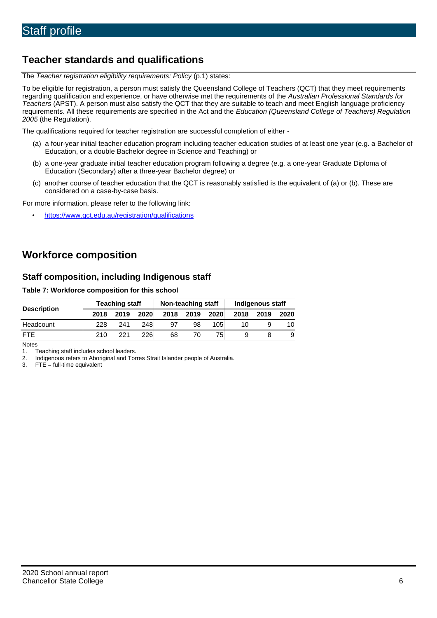# **Teacher standards and qualifications**

The *Teacher registration eligibility requirements: Policy* (p.1) states:

To be eligible for registration, a person must satisfy the Queensland College of Teachers (QCT) that they meet requirements regarding qualification and experience, or have otherwise met the requirements of the *Australian Professional Standards for Teachers* (APST). A person must also satisfy the QCT that they are suitable to teach and meet English language proficiency requirements. All these requirements are specified in the Act and the *Education (Queensland College of Teachers) Regulation 2005* (the Regulation).

The qualifications required for teacher registration are successful completion of either -

- (a) a four-year initial teacher education program including teacher education studies of at least one year (e.g. a Bachelor of Education, or a double Bachelor degree in Science and Teaching) or
- (b) a one-year graduate initial teacher education program following a degree (e.g. a one-year Graduate Diploma of Education (Secondary) after a three-year Bachelor degree) or
- (c) another course of teacher education that the QCT is reasonably satisfied is the equivalent of (a) or (b). These are considered on a case-by-case basis.

For more information, please refer to the following link:

• <https://www.qct.edu.au/registration/qualifications>

# **Workforce composition**

## **Staff composition, including Indigenous staff**

### **Table 7: Workforce composition for this school**

|                    |      | <b>Teaching staff</b> |      | Non-teaching staff |      |      | Indigenous staff |      |      |  |
|--------------------|------|-----------------------|------|--------------------|------|------|------------------|------|------|--|
| <b>Description</b> | 2018 | 2019                  | 2020 | 2018               | 2019 | 2020 | 2018             | 2019 | 2020 |  |
| Headcount          | 228  | 241                   | 248  | 97                 | 98   | 105  | 10               |      | 10.  |  |
| <b>FTE</b>         | 210. | 221                   | 226  | 68                 | 70   | 75   |                  |      |      |  |

Notes

1. Teaching staff includes school leaders.<br>2. Indigenous refers to Aboriginal and Tor 2. Indigenous refers to Aboriginal and Torres Strait Islander people of Australia.<br>3. FTE = full-time equivalent

 $FTE = full-time equivalent$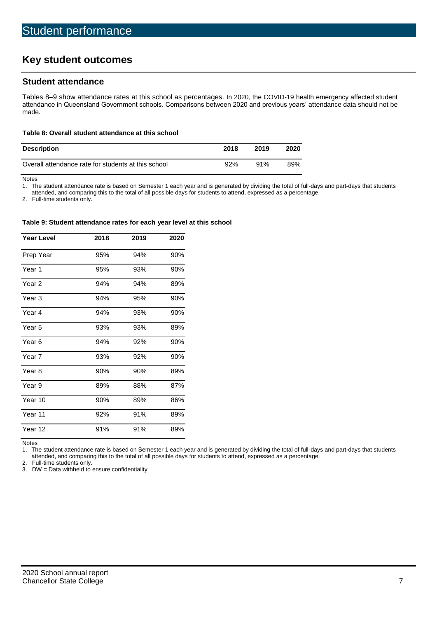# **Key student outcomes**

## **Student attendance**

Tables 8–9 show attendance rates at this school as percentages. In 2020, the COVID-19 health emergency affected student attendance in Queensland Government schools. Comparisons between 2020 and previous years' attendance data should not be made.

#### **Table 8: Overall student attendance at this school**

| <b>Description</b>                                  | 2018 | 2019 | 2020 |
|-----------------------------------------------------|------|------|------|
| Overall attendance rate for students at this school | 92%  | 91%  | 89%  |

Notes<br>1. Th

The student attendance rate is based on Semester 1 each year and is generated by dividing the total of full-days and part-days that students

attended, and comparing this to the total of all possible days for students to attend, expressed as a percentage.

2. Full-time students only.

#### **Table 9: Student attendance rates for each year level at this school**

| <b>Year Level</b> | 2018 | 2019 | 2020 |
|-------------------|------|------|------|
| Prep Year         | 95%  | 94%  | 90%  |
| Year 1            | 95%  | 93%  | 90%  |
| Year 2            | 94%  | 94%  | 89%  |
| Year <sub>3</sub> | 94%  | 95%  | 90%  |
| Year 4            | 94%  | 93%  | 90%  |
| Year <sub>5</sub> | 93%  | 93%  | 89%  |
| Year <sub>6</sub> | 94%  | 92%  | 90%  |
| Year <sub>7</sub> | 93%  | 92%  | 90%  |
| Year <sub>8</sub> | 90%  | 90%  | 89%  |
| Year 9            | 89%  | 88%  | 87%  |
| Year 10           | 90%  | 89%  | 86%  |
| Year 11           | 92%  | 91%  | 89%  |
| Year 12           | 91%  | 91%  | 89%  |

Notes

1. The student attendance rate is based on Semester 1 each year and is generated by dividing the total of full-days and part-days that students attended, and comparing this to the total of all possible days for students to attend, expressed as a percentage.

2. Full-time students only.<br>3. DW = Data withheld to

 $DW = Data$  withheld to ensure confidentiality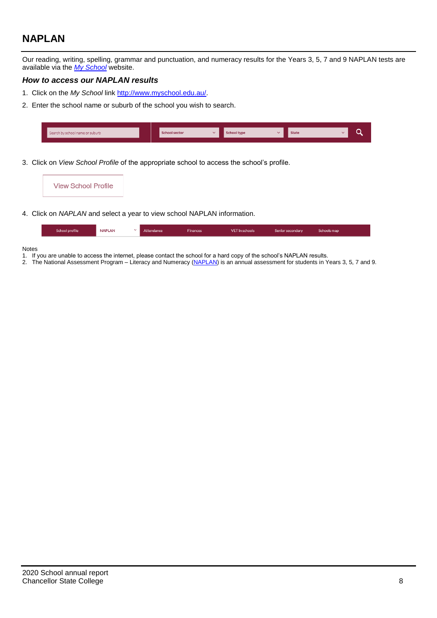# **NAPLAN**

Our reading, writing, spelling, grammar and punctuation, and numeracy results for the Years 3, 5, 7 and 9 NAPLAN tests are available via the *[My School](http://www.myschool.edu.au/)* website.

## *How to access our NAPLAN results*

- 1. Click on the *My School* link [http://www.myschool.edu.au/.](http://www.myschool.edu.au/)
- 2. Enter the school name or suburb of the school you wish to search.

| Search by school name or suburb | <b>School sector</b> | chool type | <b>State</b> |  |
|---------------------------------|----------------------|------------|--------------|--|
|                                 |                      |            |              |  |

3. Click on *View School Profile* of the appropriate school to access the school's profile.

|    | <b>View School Profile</b> |
|----|----------------------------|
| ~… | $\cdots$                   |

4. Click on *NAPLAN* and select a year to view school NAPLAN information.

| School profile | <b>NAPLAN</b> | Attendance | <b>Finances</b> | <b>VET</b> in schools | Senior secondary | Schools map |
|----------------|---------------|------------|-----------------|-----------------------|------------------|-------------|
|                |               |            |                 |                       |                  |             |

#### Notes

- 1. If you are unable to access the internet, please contact the school for a hard copy of the school's NAPLAN results.
- 2. The National Assessment Program Literacy and Numeracy [\(NAPLAN\)](http://www.nap.edu.au/naplan) is an annual assessment for students in Years 3, 5, 7 and 9.